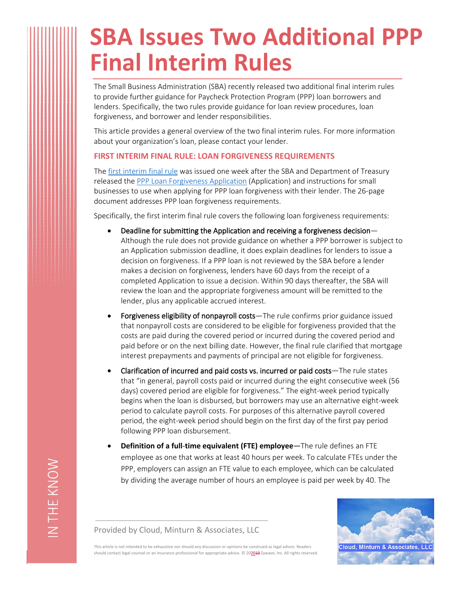## **SBA Issues Two Additional PPP Final Interim Rules**

The Small Business Administration (SBA) recently released two additional final interim rules to provide further guidance for Paycheck Protection Program (PPP) loan borrowers and lenders. Specifically, the two rules provide guidance for loan review procedures, loan forgiveness, and borrower and lender responsibilities.

This article provides a general overview of the two final interim rules. For more information about your organization's loan, please contact your lender.

## **FIRST INTERIM FINAL RULE: LOAN FORGIVENESS REQUIREMENTS**

The [first interim final rule](https://home.treasury.gov/system/files/136/PPP-IFR-Loan-Forgiveness.pdf) was issued one week after the SBA and Department of Treasury released the [PPP Loan Forgiveness Application](https://home.treasury.gov/system/files/136/3245-0407-SBA-Form-3508-PPP-Forgiveness-Application.pdf) (Application) and instructions for small businesses to use when applying for PPP loan forgiveness with their lender. The 26-page document addresses PPP loan forgiveness requirements.

Specifically, the first interim final rule covers the following loan forgiveness requirements:

- **Deadline for submitting the Application and receiving a forgiveness decision** Although the rule does not provide guidance on whether a PPP borrower is subject to an Application submission deadline, it does explain deadlines for lenders to issue a decision on forgiveness. If a PPP loan is not reviewed by the SBA before a lender makes a decision on forgiveness, lenders have 60 days from the receipt of a completed Application to issue a decision. Within 90 days thereafter, the SBA will review the loan and the appropriate forgiveness amount will be remitted to the lender, plus any applicable accrued interest.
- **Forgiveness eligibility of nonpayroll costs**—The rule confirms prior guidance issued that nonpayroll costs are considered to be eligible for forgiveness provided that the costs are paid during the covered period or incurred during the covered period and paid before or on the next billing date. However, the final rule clarified that mortgage interest prepayments and payments of principal are not eligible for forgiveness.
- **Clarification of incurred and paid costs vs. incurred or paid costs**—The rule states that "in general, payroll costs paid or incurred during the eight consecutive week (56 days) covered period are eligible for forgiveness." The eight-week period typically begins when the loan is disbursed, but borrowers may use an alternative eight-week period to calculate payroll costs. For purposes of this alternative payroll covered period, the eight-week period should begin on the first day of the first pay period following PPP loan disbursement.
- **Definition of a full**-**time equivalent (FTE) employee**—The rule defines an FTE employee as one that works at least 40 hours per week. To calculate FTEs under the PPP, employers can assign an FTE value to each employee, which can be calculated by dividing the average number of hours an employee is paid per week by 40. The



Provided by Cloud, Minturn & Associates, LLC

This article is not intended to be exhaustive nor should any discussion or opinions be construed as legal advice. Readers should contact legal counsel or an insurance professional for appropriate advice. © 202019 Zywave, Inc. All rights reserved.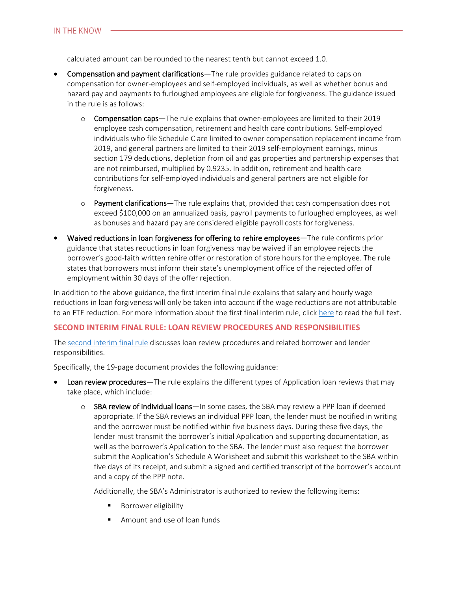calculated amount can be rounded to the nearest tenth but cannot exceed 1.0.

- **Compensation and payment clarifications**—The rule provides guidance related to caps on compensation for owner-employees and self-employed individuals, as well as whether bonus and hazard pay and payments to furloughed employees are eligible for forgiveness. The guidance issued in the rule is as follows:
	- o **Compensation caps**—The rule explains that owner-employees are limited to their 2019 employee cash compensation, retirement and health care contributions. Self-employed individuals who file Schedule C are limited to owner compensation replacement income from 2019, and general partners are limited to their 2019 self-employment earnings, minus section 179 deductions, depletion from oil and gas properties and partnership expenses that are not reimbursed, multiplied by 0.9235. In addition, retirement and health care contributions for self-employed individuals and general partners are not eligible for forgiveness.
	- o **Payment clarifications**—The rule explains that, provided that cash compensation does not exceed \$100,000 on an annualized basis, payroll payments to furloughed employees, as well as bonuses and hazard pay are considered eligible payroll costs for forgiveness.
- **Waived reductions in loan forgiveness for offering to rehire employees**—The rule confirms prior guidance that states reductions in loan forgiveness may be waived if an employee rejects the borrower's good-faith written rehire offer or restoration of store hours for the employee. The rule states that borrowers must inform their state's unemployment office of the rejected offer of employment within 30 days of the offer rejection.

In addition to the above guidance, the first interim final rule explains that salary and hourly wage reductions in loan forgiveness will only be taken into account if the wage reductions are not attributable to an FTE reduction. For more information about the first final interim rule, click [here](https://home.treasury.gov/system/files/136/PPP-IFR-Loan-Forgiveness.pdf) to read the full text.

## **SECOND INTERIM FINAL RULE: LOAN REVIEW PROCEDURES AND RESPONSIBILITIES**

The [second interim final rule](https://home.treasury.gov/system/files/136/PPP-IFR-SBA-Loan-Review-Procedures-and-Related-Borrower-and-Lender-Responsibilities.pdf) discusses loan review procedures and related borrower and lender responsibilities.

Specifically, the 19-page document provides the following guidance:

- **Loan review procedures**—The rule explains the different types of Application loan reviews that may take place, which include:
	- o **SBA review of individual loans**—In some cases, the SBA may review a PPP loan if deemed appropriate. If the SBA reviews an individual PPP loan, the lender must be notified in writing and the borrower must be notified within five business days. During these five days, the lender must transmit the borrower's initial Application and supporting documentation, as well as the borrower's Application to the SBA. The lender must also request the borrower submit the Application's Schedule A Worksheet and submit this worksheet to the SBA within five days of its receipt, and submit a signed and certified transcript of the borrower's account and a copy of the PPP note.

Additionally, the SBA's Administrator is authorized to review the following items:

- **Borrower eligibility**
- **Amount and use of loan funds**